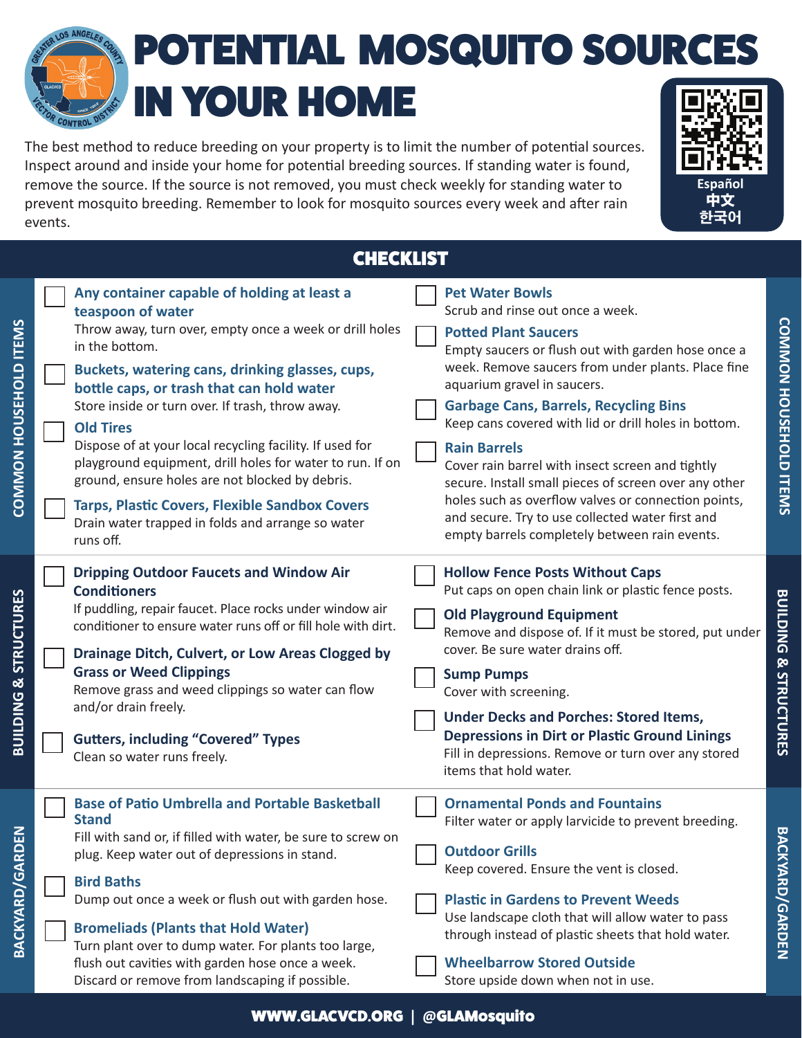## POTENTIAL MOSQUITO SOURCES IN YOUR HOME

The best method to reduce breeding on your property is to limit the number of potential sources. Inspect around and inside your home for potential breeding sources. If standing water is found, remove the source. If the source is not removed, you must check weekly for standing water to prevent mosquito breeding. Remember to look for mosquito sources every week and after rain events.



**COMMON HOUSEHOLD ITEMS**

**COMMON HOUSEHOLD ITEMS** 

**CHECKLIST** 

| COMMON HOUSEHOLD ITEMS          | Any container capable of holding at least a<br>teaspoon of water<br>Throw away, turn over, empty once a week or drill holes<br>in the bottom.<br>Buckets, watering cans, drinking glasses, cups,<br>bottle caps, or trash that can hold water<br>Store inside or turn over. If trash, throw away.<br><b>Old Tires</b><br>Dispose of at your local recycling facility. If used for<br>playground equipment, drill holes for water to run. If on<br>ground, ensure holes are not blocked by debris.<br><b>Tarps, Plastic Covers, Flexible Sandbox Covers</b><br>Drain water trapped in folds and arrange so water<br>runs off. | <b>Pet Water Bowls</b><br>Scrub and rinse out once a week.<br><b>Potted Plant Saucers</b><br>Empty saucers or flush out with garden hose once a<br>week. Remove saucers from under plants. Place fine<br>aquarium gravel in saucers.<br><b>Garbage Cans, Barrels, Recycling Bins</b><br>Keep cans covered with lid or drill holes in bottom.<br><b>Rain Barrels</b><br>Cover rain barrel with insect screen and tightly<br>secure. Install small pieces of screen over any other<br>holes such as overflow valves or connection points,<br>and secure. Try to use collected water first and<br>empty barrels completely between rain events. | <b>COMMON HOUSEHOLD ITEMS</b>     |
|---------------------------------|------------------------------------------------------------------------------------------------------------------------------------------------------------------------------------------------------------------------------------------------------------------------------------------------------------------------------------------------------------------------------------------------------------------------------------------------------------------------------------------------------------------------------------------------------------------------------------------------------------------------------|----------------------------------------------------------------------------------------------------------------------------------------------------------------------------------------------------------------------------------------------------------------------------------------------------------------------------------------------------------------------------------------------------------------------------------------------------------------------------------------------------------------------------------------------------------------------------------------------------------------------------------------------|-----------------------------------|
| & STRUCTURES<br><b>BUILDING</b> | <b>Dripping Outdoor Faucets and Window Air</b><br><b>Conditioners</b><br>If puddling, repair faucet. Place rocks under window air<br>conditioner to ensure water runs off or fill hole with dirt.<br>Drainage Ditch, Culvert, or Low Areas Clogged by<br><b>Grass or Weed Clippings</b><br>Remove grass and weed clippings so water can flow<br>and/or drain freely.<br><b>Gutters, including "Covered" Types</b><br>Clean so water runs freely.                                                                                                                                                                             | <b>Hollow Fence Posts Without Caps</b><br>Put caps on open chain link or plastic fence posts.<br><b>Old Playground Equipment</b><br>Remove and dispose of. If it must be stored, put under<br>cover. Be sure water drains off.<br><b>Sump Pumps</b><br>Cover with screening.<br><b>Under Decks and Porches: Stored Items,</b><br><b>Depressions in Dirt or Plastic Ground Linings</b><br>Fill in depressions. Remove or turn over any stored<br>items that hold water.                                                                                                                                                                       | <b>BUILDING &amp; STRUCTURES</b>  |
| <b>ARDEN</b><br>BACKYARD/G      | <b>Base of Patio Umbrella and Portable Basketball</b><br><b>Stand</b><br>Fill with sand or, if filled with water, be sure to screw on<br>plug. Keep water out of depressions in stand.<br><b>Bird Baths</b><br>Dump out once a week or flush out with garden hose.<br><b>Bromeliads (Plants that Hold Water)</b><br>Turn plant over to dump water. For plants too large,<br>flush out cavities with garden hose once a week.<br>Discard or remove from landscaping if possible.                                                                                                                                              | <b>Ornamental Ponds and Fountains</b><br>Filter water or apply larvicide to prevent breeding.<br><b>Outdoor Grills</b><br>Keep covered. Ensure the vent is closed.<br><b>Plastic in Gardens to Prevent Weeds</b><br>Use landscape cloth that will allow water to pass<br>through instead of plastic sheets that hold water.<br><b>Wheelbarrow Stored Outside</b><br>Store upside down when not in use.                                                                                                                                                                                                                                       | <b>BACKY</b><br><b>АRD/GARDEN</b> |